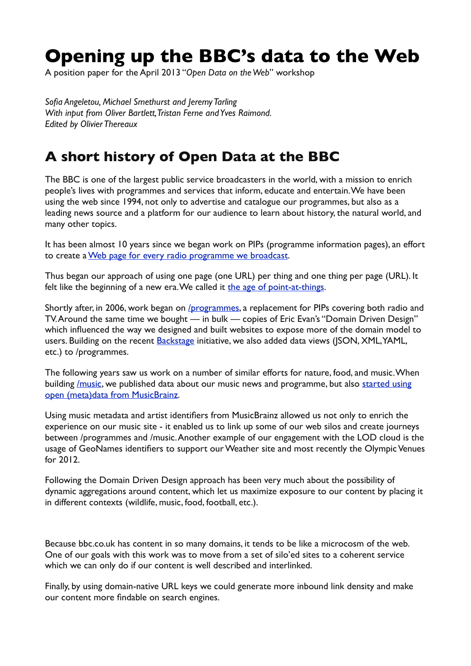# **Opening up the BBC's data to the Web**

A position paper for the April 2013 "*Open Data on the Web*" workshop

*Sofia Angeletou, Michael Smethurst and Jeremy Tarling With input from Oliver Bartlett, Tristan Ferne and Yves Raimond. Edited by Olivier Thereaux*

### **A short history of Open Data at the BBC**

The BBC is one of the largest public service broadcasters in the world, with a mission to enrich people's lives with programmes and services that inform, educate and entertain. We have been using the web since 1994, not only to advertise and catalogue our programmes, but also as a leading news source and a platform for our audience to learn about history, the natural world, and many other topics.

It has been almost 10 years since we began work on PIPs (programme information pages), an effort to create a [Web page for every radio programme we broadcast.](http://www.plasticbag.org/archives/2004/06/developing_a_url_structure_for_broadcast_radio_sites/)

Thus began our approach of using one page (one URL) per thing and one thing per page (URL). It felt like the beginning of a new era. We called it [the age of point-at-things.](http://www.plasticbag.org/archives/2005/04/the_age_of_pointatthings/)

Shortly after, in 2006, work began on [/programmes](http://www.bbc.co.uk/programmes), a replacement for PIPs covering both radio and TV. Around the same time we bought — in bulk — copies of Eric Evan's "Domain Driven Design" which influenced the way we designed and built websites to expose more of the domain model to users. Building on the recent **Backstage** initiative, we also added data views (JSON, XML, YAML, etc.) to /programmes.

The following years saw us work on a number of similar efforts for nature, food, and music. When building *Imusic*, we published data about our music news and programme, but also started using [open \(meta\)data from MusicBrainz.](http://derivadow.com/2007/06/21/bbc-music-brainz/)

Using music metadata and artist identifiers from MusicBrainz allowed us not only to enrich the experience on our music site - it enabled us to link up some of our web silos and create journeys between /programmes and /music. Another example of our engagement with the LOD cloud is the usage of GeoNames identifiers to support our Weather site and most recently the Olympic Venues for 2012.

Following the Domain Driven Design approach has been very much about the possibility of dynamic aggregations around content, which let us maximize exposure to our content by placing it in different contexts (wildlife, music, food, football, etc.).

Because bbc.co.uk has content in so many domains, it tends to be like a microcosm of the web. One of our goals with this work was to move from a set of silo'ed sites to a coherent service which we can only do if our content is well described and interlinked.

Finally, by using domain-native URL keys we could generate more inbound link density and make our content more findable on search engines.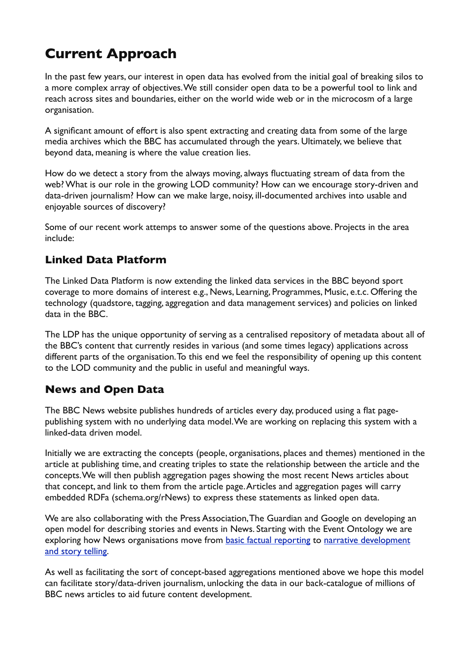## **Current Approach**

In the past few years, our interest in open data has evolved from the initial goal of breaking silos to a more complex array of objectives. We still consider open data to be a powerful tool to link and reach across sites and boundaries, either on the world wide web or in the microcosm of a large organisation.

A significant amount of effort is also spent extracting and creating data from some of the large media archives which the BBC has accumulated through the years. Ultimately, we believe that beyond data, meaning is where the value creation lies.

How do we detect a story from the always moving, always fluctuating stream of data from the web? What is our role in the growing LOD community? How can we encourage story-driven and data-driven journalism? How can we make large, noisy, ill-documented archives into usable and enjoyable sources of discovery?

Some of our recent work attemps to answer some of the questions above. Projects in the area include:

#### **Linked Data Platform**

The Linked Data Platform is now extending the linked data services in the BBC beyond sport coverage to more domains of interest e.g., News, Learning, Programmes, Music, e.t.c. Offering the technology (quadstore, tagging, aggregation and data management services) and policies on linked data in the BBC.

The LDP has the unique opportunity of serving as a centralised repository of metadata about all of the BBC's content that currently resides in various (and some times legacy) applications across different parts of the organisation. To this end we feel the responsibility of opening up this content to the LOD community and the public in useful and meaningful ways.

#### **News and Open Data**

The BBC News website publishes hundreds of articles every day, produced using a flat pagepublishing system with no underlying data model. We are working on replacing this system with a linked-data driven model.

Initially we are extracting the concepts (people, organisations, places and themes) mentioned in the article at publishing time, and creating triples to state the relationship between the article and the concepts. We will then publish aggregation pages showing the most recent News articles about that concept, and link to them from the article page. Articles and aggregation pages will carry embedded RDFa (schema.org/rNews) to express these statements as linked open data.

We are also collaborating with the Press Association, The Guardian and Google on developing an open model for describing stories and events in News. Starting with the Event Ontology we are exploring how News organisations move from [basic factual reporting](http://www.bbc.co.uk/news/world-middle-east-20600920) to narrative development [and story telling](http://www.bbc.co.uk/news/world-middle-east-12813859).

As well as facilitating the sort of concept-based aggregations mentioned above we hope this model can facilitate story/data-driven journalism, unlocking the data in our back-catalogue of millions of BBC news articles to aid future content development.